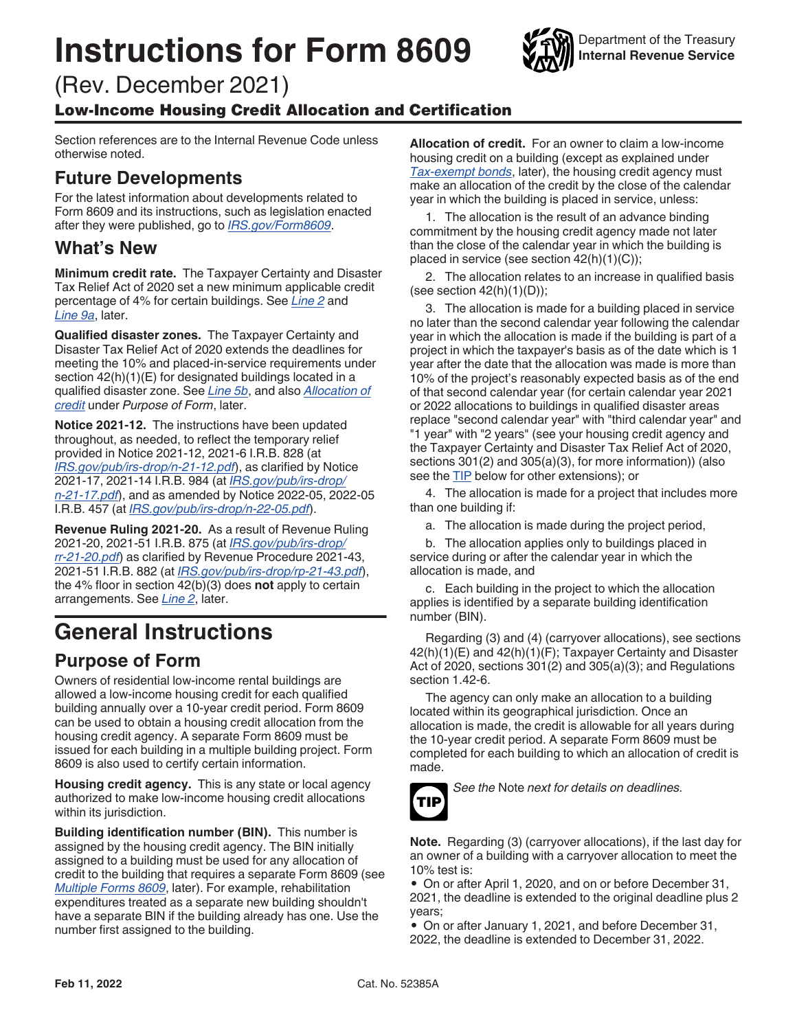# <span id="page-0-0"></span>**Instructions for Form 8609**

(Rev. December 2021)

#### Low-Income Housing Credit Allocation and Certification

Section references are to the Internal Revenue Code unless otherwise noted.

### **Future Developments**

For the latest information about developments related to Form 8609 and its instructions, such as legislation enacted after they were published, go to *[IRS.gov/Form8609](https://www.irs.gov/form8609)*.

#### **What's New**

**Minimum credit rate.** The Taxpayer Certainty and Disaster Tax Relief Act of 2020 set a new minimum applicable credit percentage of 4% for certain buildings. See *[Line 2](#page-2-0)* and *[Line 9a](#page-4-0)*, later.

**Qualified disaster zones.** The Taxpayer Certainty and Disaster Tax Relief Act of 2020 extends the deadlines for meeting the 10% and placed-in-service requirements under section  $42(h)(1)(E)$  for designated buildings located in a qualified disaster zone. See *[Line 5b](#page-3-0)*, and also *Allocation of credit* under *Purpose of Form*, later.

**Notice 2021-12.** The instructions have been updated throughout, as needed, to reflect the temporary relief provided in Notice 2021-12, 2021-6 I.R.B. 828 (at *[IRS.gov/pub/irs-drop/n-21-12.pdf](https://www.irs.gov/pub/irs-drop/n-21-12.pdf)*), as clarified by Notice 2021-17, 2021-14 I.R.B. 984 (at *[IRS.gov/pub/irs-drop/](https://www.irs.gov/pub/irs-drop/n-21-17.pdf) [n-21-17.pdf](https://www.irs.gov/pub/irs-drop/n-21-17.pdf)*), and as amended by Notice 2022-05, 2022-05 I.R.B. 457 (at *[IRS.gov/pub/irs-drop/n-22-05.pdf](https://www.irs.gov/pub/irs-drop/n-22-05.pdf)*).

**Revenue Ruling 2021-20.** As a result of Revenue Ruling 2021-20, 2021-51 I.R.B. 875 (at *[IRS.gov/pub/irs-drop/](https://www.irs.gov/pub/irs-drop/rr-21-20.pdf) [rr-21-20.pdf](https://www.irs.gov/pub/irs-drop/rr-21-20.pdf)*) as clarified by Revenue Procedure 2021-43, 2021-51 I.R.B. 882 (at *[IRS.gov/pub/irs-drop/rp-21-43.pdf](https://www.irs.gov/pub/irs-drop/rp-21-43.pdf)*), the 4% floor in section 42(b)(3) does **not** apply to certain arrangements. See *[Line 2](#page-2-0)*, later.

## **General Instructions**

#### **Purpose of Form**

Owners of residential low-income rental buildings are allowed a low-income housing credit for each qualified building annually over a 10-year credit period. Form 8609 can be used to obtain a housing credit allocation from the housing credit agency. A separate Form 8609 must be issued for each building in a multiple building project. Form 8609 is also used to certify certain information.

**Housing credit agency.** This is any state or local agency authorized to make low-income housing credit allocations within its jurisdiction.

**Building identification number (BIN).** This number is assigned by the housing credit agency. The BIN initially assigned to a building must be used for any allocation of credit to the building that requires a separate Form 8609 (see *[Multiple Forms 8609](#page-1-0)*, later). For example, rehabilitation expenditures treated as a separate new building shouldn't have a separate BIN if the building already has one. Use the number first assigned to the building.

**Allocation of credit.** For an owner to claim a low-income housing credit on a building (except as explained under *[Tax-exempt bonds](#page-1-0)*, later), the housing credit agency must make an allocation of the credit by the close of the calendar year in which the building is placed in service, unless:

1. The allocation is the result of an advance binding commitment by the housing credit agency made not later than the close of the calendar year in which the building is placed in service (see section 42(h)(1)(C));

2. The allocation relates to an increase in qualified basis (see section  $42(h)(1)(D)$ );

3. The allocation is made for a building placed in service no later than the second calendar year following the calendar year in which the allocation is made if the building is part of a project in which the taxpayer's basis as of the date which is 1 year after the date that the allocation was made is more than 10% of the project's reasonably expected basis as of the end of that second calendar year (for certain calendar year 2021 or 2022 allocations to buildings in qualified disaster areas replace "second calendar year" with "third calendar year" and "1 year" with "2 years" (see your housing credit agency and the Taxpayer Certainty and Disaster Tax Relief Act of 2020, sections 301(2) and 305(a)(3), for more information)) (also see the TIP below for other extensions); or

4. The allocation is made for a project that includes more than one building if:

a. The allocation is made during the project period,

b. The allocation applies only to buildings placed in service during or after the calendar year in which the allocation is made, and

c. Each building in the project to which the allocation applies is identified by a separate building identification number (BIN).

Regarding (3) and (4) (carryover allocations), see sections 42(h)(1)(E) and 42(h)(1)(F); Taxpayer Certainty and Disaster Act of 2020, sections 301(2) and 305(a)(3); and Regulations section 1.42-6.

The agency can only make an allocation to a building located within its geographical jurisdiction. Once an allocation is made, the credit is allowable for all years during the 10-year credit period. A separate Form 8609 must be completed for each building to which an allocation of credit is made.



*See the* Note *next for details on deadlines.*

**Note.** Regarding (3) (carryover allocations), if the last day for an owner of a building with a carryover allocation to meet the 10% test is:

• On or after April 1, 2020, and on or before December 31, 2021, the deadline is extended to the original deadline plus 2 years;

• On or after January 1, 2021, and before December 31, 2022, the deadline is extended to December 31, 2022.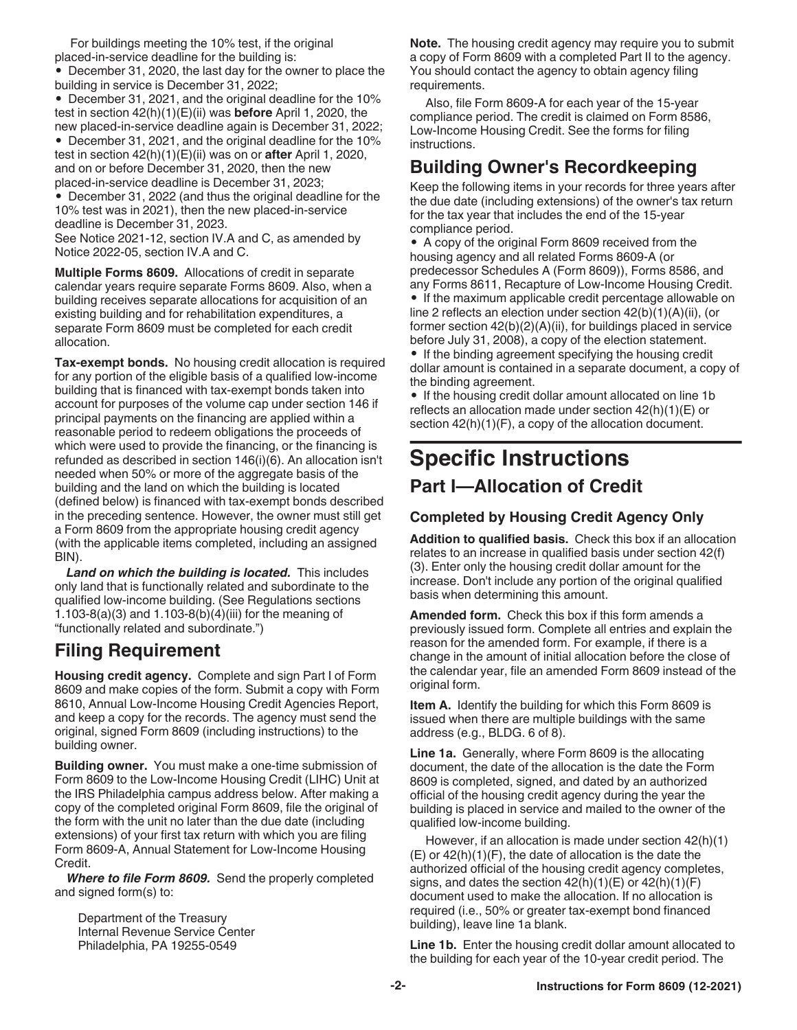<span id="page-1-0"></span>For buildings meeting the 10% test, if the original placed-in-service deadline for the building is:

• December 31, 2020, the last day for the owner to place the building in service is December 31, 2022;

• December 31, 2021, and the original deadline for the 10% test in section 42(h)(1)(E)(ii) was **before** April 1, 2020, the new placed-in-service deadline again is December 31, 2022;

• December 31, 2021, and the original deadline for the 10% test in section 42(h)(1)(E)(ii) was on or **after** April 1, 2020, and on or before December 31, 2020, then the new placed-in-service deadline is December 31, 2023;

• December 31, 2022 (and thus the original deadline for the 10% test was in 2021), then the new placed-in-service deadline is December 31, 2023.

See Notice 2021-12, section IV.A and C, as amended by Notice 2022-05, section IV.A and C.

**Multiple Forms 8609.** Allocations of credit in separate calendar years require separate Forms 8609. Also, when a building receives separate allocations for acquisition of an existing building and for rehabilitation expenditures, a separate Form 8609 must be completed for each credit allocation.

**Tax-exempt bonds.** No housing credit allocation is required for any portion of the eligible basis of a qualified low-income building that is financed with tax-exempt bonds taken into account for purposes of the volume cap under section 146 if principal payments on the financing are applied within a reasonable period to redeem obligations the proceeds of which were used to provide the financing, or the financing is refunded as described in section 146(i)(6). An allocation isn't needed when 50% or more of the aggregate basis of the building and the land on which the building is located (defined below) is financed with tax-exempt bonds described in the preceding sentence. However, the owner must still get a Form 8609 from the appropriate housing credit agency (with the applicable items completed, including an assigned BIN).

*Land on which the building is located.* This includes only land that is functionally related and subordinate to the qualified low-income building. (See Regulations sections 1.103-8(a)(3) and 1.103-8(b)(4)(iii) for the meaning of "functionally related and subordinate.")

#### **Filing Requirement**

**Housing credit agency.** Complete and sign Part I of Form 8609 and make copies of the form. Submit a copy with Form 8610, Annual Low-Income Housing Credit Agencies Report, and keep a copy for the records. The agency must send the original, signed Form 8609 (including instructions) to the building owner.

**Building owner.** You must make a one-time submission of Form 8609 to the Low-Income Housing Credit (LIHC) Unit at the IRS Philadelphia campus address below. After making a copy of the completed original Form 8609, file the original of the form with the unit no later than the due date (including extensions) of your first tax return with which you are filing Form 8609-A, Annual Statement for Low-Income Housing Credit.

*Where to file Form 8609.* Send the properly completed and signed form(s) to:

Department of the Treasury Internal Revenue Service Center Philadelphia, PA 19255-0549

**Note.** The housing credit agency may require you to submit a copy of Form 8609 with a completed Part II to the agency. You should contact the agency to obtain agency filing requirements.

Also, file Form 8609-A for each year of the 15-year compliance period. The credit is claimed on Form 8586, Low-Income Housing Credit. See the forms for filing instructions.

#### **Building Owner's Recordkeeping**

Keep the following items in your records for three years after the due date (including extensions) of the owner's tax return for the tax year that includes the end of the 15-year compliance period.

• A copy of the original Form 8609 received from the housing agency and all related Forms 8609-A (or predecessor Schedules A (Form 8609)), Forms 8586, and any Forms 8611, Recapture of Low-Income Housing Credit.

• If the maximum applicable credit percentage allowable on line 2 reflects an election under section 42(b)(1)(A)(ii), (or former section  $42(b)(2)(A)(ii)$ , for buildings placed in service before July 31, 2008), a copy of the election statement.

• If the binding agreement specifying the housing credit dollar amount is contained in a separate document, a copy of the binding agreement.

• If the housing credit dollar amount allocated on line 1b reflects an allocation made under section 42(h)(1)(E) or section  $42(h)(1)(F)$ , a copy of the allocation document.

## **Specific Instructions**

#### **Part I—Allocation of Credit**

#### **Completed by Housing Credit Agency Only**

**Addition to qualified basis.** Check this box if an allocation relates to an increase in qualified basis under section 42(f) (3). Enter only the housing credit dollar amount for the increase. Don't include any portion of the original qualified basis when determining this amount.

**Amended form.** Check this box if this form amends a previously issued form. Complete all entries and explain the reason for the amended form. For example, if there is a change in the amount of initial allocation before the close of the calendar year, file an amended Form 8609 instead of the original form.

**Item A.** Identify the building for which this Form 8609 is issued when there are multiple buildings with the same address (e.g., BLDG. 6 of 8).

**Line 1a.** Generally, where Form 8609 is the allocating document, the date of the allocation is the date the Form 8609 is completed, signed, and dated by an authorized official of the housing credit agency during the year the building is placed in service and mailed to the owner of the qualified low-income building.

However, if an allocation is made under section 42(h)(1)  $(E)$  or  $42(h)(1)(F)$ , the date of allocation is the date the authorized official of the housing credit agency completes, signs, and dates the section  $42(h)(1)(E)$  or  $42(h)(1)(F)$ document used to make the allocation. If no allocation is required (i.e., 50% or greater tax-exempt bond financed building), leave line 1a blank.

Line 1b. Enter the housing credit dollar amount allocated to the building for each year of the 10-year credit period. The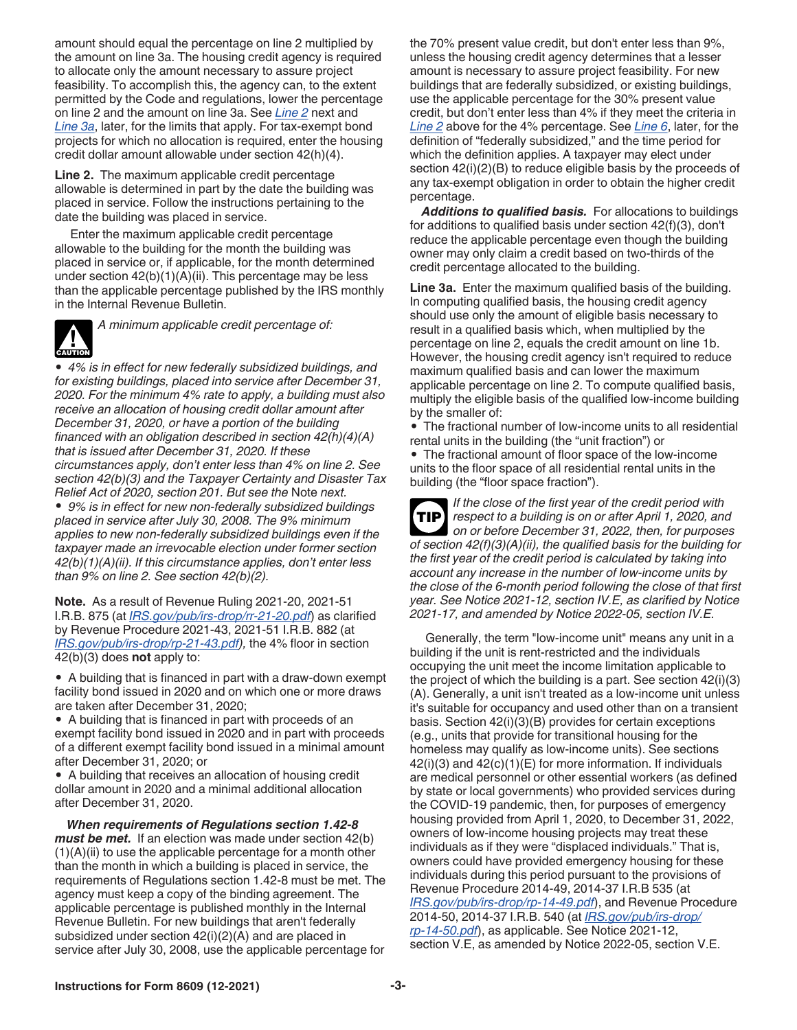<span id="page-2-0"></span>amount should equal the percentage on line 2 multiplied by the amount on line 3a. The housing credit agency is required to allocate only the amount necessary to assure project feasibility. To accomplish this, the agency can, to the extent permitted by the Code and regulations, lower the percentage on line 2 and the amount on line 3a. See *Line 2* next and *Line 3a*, later, for the limits that apply. For tax-exempt bond projects for which no allocation is required, enter the housing credit dollar amount allowable under section 42(h)(4).

**Line 2.** The maximum applicable credit percentage allowable is determined in part by the date the building was placed in service. Follow the instructions pertaining to the date the building was placed in service.

Enter the maximum applicable credit percentage allowable to the building for the month the building was placed in service or, if applicable, for the month determined under section  $42(b)(1)(A)(ii)$ . This percentage may be less than the applicable percentage published by the IRS monthly in the Internal Revenue Bulletin.



*A minimum applicable credit percentage of:*

*• 4% is in effect for new federally subsidized buildings, and for existing buildings, placed into service after December 31, 2020. For the minimum 4% rate to apply, a building must also receive an allocation of housing credit dollar amount after December 31, 2020, or have a portion of the building financed with an obligation described in section 42(h)(4)(A) that is issued after December 31, 2020. If these circumstances apply, don't enter less than 4% on line 2. See section 42(b)(3) and the Taxpayer Certainty and Disaster Tax Relief Act of 2020, section 201. But see the* Note *next. • 9% is in effect for new non-federally subsidized buildings placed in service after July 30, 2008. The 9% minimum applies to new non-federally subsidized buildings even if the taxpayer made an irrevocable election under former section 42(b)(1)(A)(ii). If this circumstance applies, don't enter less than 9% on line 2. See section 42(b)(2).*

**Note.** As a result of Revenue Ruling 2021-20, 2021-51 I.R.B. 875 (at *[IRS.gov/pub/irs-drop/rr-21-20.pdf](https://www.irs.gov/pub/irs-drop/rr-21-20.pdf)*) as clarified by Revenue Procedure 2021-43, 2021-51 I.R.B. 882 (at *[IRS.gov/pub/irs-drop/rp-21-43.pdf\)](https://www.irs.gov/pub/irs-drop/rp-21-43.pdf),* the 4% floor in section 42(b)(3) does **not** apply to:

*•* A building that is financed in part with a draw-down exempt facility bond issued in 2020 and on which one or more draws are taken after December 31, 2020;

*•* A building that is financed in part with proceeds of an exempt facility bond issued in 2020 and in part with proceeds of a different exempt facility bond issued in a minimal amount after December 31, 2020; or

*•* A building that receives an allocation of housing credit dollar amount in 2020 and a minimal additional allocation after December 31, 2020.

*When requirements of Regulations section 1.42-8 must be met.* If an election was made under section 42(b)  $(1)(A)(ii)$  to use the applicable percentage for a month other than the month in which a building is placed in service, the requirements of Regulations section 1.42-8 must be met. The agency must keep a copy of the binding agreement. The applicable percentage is published monthly in the Internal Revenue Bulletin. For new buildings that aren't federally subsidized under section 42(i)(2)(A) and are placed in service after July 30, 2008, use the applicable percentage for

the 70% present value credit, but don't enter less than 9%, unless the housing credit agency determines that a lesser amount is necessary to assure project feasibility. For new buildings that are federally subsidized, or existing buildings, use the applicable percentage for the 30% present value credit, but don't enter less than 4% if they meet the criteria in *Line 2* above for the 4% percentage. See *[Line 6](#page-3-0)*, later, for the definition of "federally subsidized," and the time period for which the definition applies. A taxpayer may elect under section 42(i)(2)(B) to reduce eligible basis by the proceeds of any tax-exempt obligation in order to obtain the higher credit percentage.

*Additions to qualified basis.* For allocations to buildings for additions to qualified basis under section 42(f)(3), don't reduce the applicable percentage even though the building owner may only claim a credit based on two-thirds of the credit percentage allocated to the building.

**Line 3a.** Enter the maximum qualified basis of the building. In computing qualified basis, the housing credit agency should use only the amount of eligible basis necessary to result in a qualified basis which, when multiplied by the percentage on line 2, equals the credit amount on line 1b. However, the housing credit agency isn't required to reduce maximum qualified basis and can lower the maximum applicable percentage on line 2. To compute qualified basis, multiply the eligible basis of the qualified low-income building by the smaller of:

• The fractional number of low-income units to all residential rental units in the building (the "unit fraction") or

• The fractional amount of floor space of the low-income units to the floor space of all residential rental units in the building (the "floor space fraction").

*If the close of the first year of the credit period with respect to a building is on or after April 1, 2020, and on or before December 31, 2022, then, for purposes of section 42(f)(3)(A)(ii), the qualified basis for the building for the first year of the credit period is calculated by taking into account any increase in the number of low-income units by the close of the 6-month period following the close of that first year. See Notice 2021-12, section IV.E, as clarified by Notice 2021-17, and amended by Notice 2022-05, section IV.E.* **TIP**

Generally, the term "low-income unit" means any unit in a building if the unit is rent-restricted and the individuals occupying the unit meet the income limitation applicable to the project of which the building is a part. See section 42(i)(3) (A). Generally, a unit isn't treated as a low-income unit unless it's suitable for occupancy and used other than on a transient basis. Section 42(i)(3)(B) provides for certain exceptions (e.g., units that provide for transitional housing for the homeless may qualify as low-income units). See sections 42(i)(3) and 42(c)(1)(E) for more information. If individuals are medical personnel or other essential workers (as defined by state or local governments) who provided services during the COVID-19 pandemic, then, for purposes of emergency housing provided from April 1, 2020, to December 31, 2022, owners of low-income housing projects may treat these individuals as if they were "displaced individuals." That is, owners could have provided emergency housing for these individuals during this period pursuant to the provisions of Revenue Procedure 2014-49, 2014-37 I.R.B 535 (at *[IRS.gov/pub/irs-drop/rp-14-49.pdf](https://www.irs.gov/pub/irs-drop/rp-14-49.pdf)*), and Revenue Procedure 2014-50, 2014-37 I.R.B. 540 (at *[IRS.gov/pub/irs-drop/](https://www.irs.gov/pub/irs-drop/rp-14-50.pdf) [rp-14-50.pdf](https://www.irs.gov/pub/irs-drop/rp-14-50.pdf)*), as applicable. See Notice 2021-12, section V.E, as amended by Notice 2022-05, section V.E.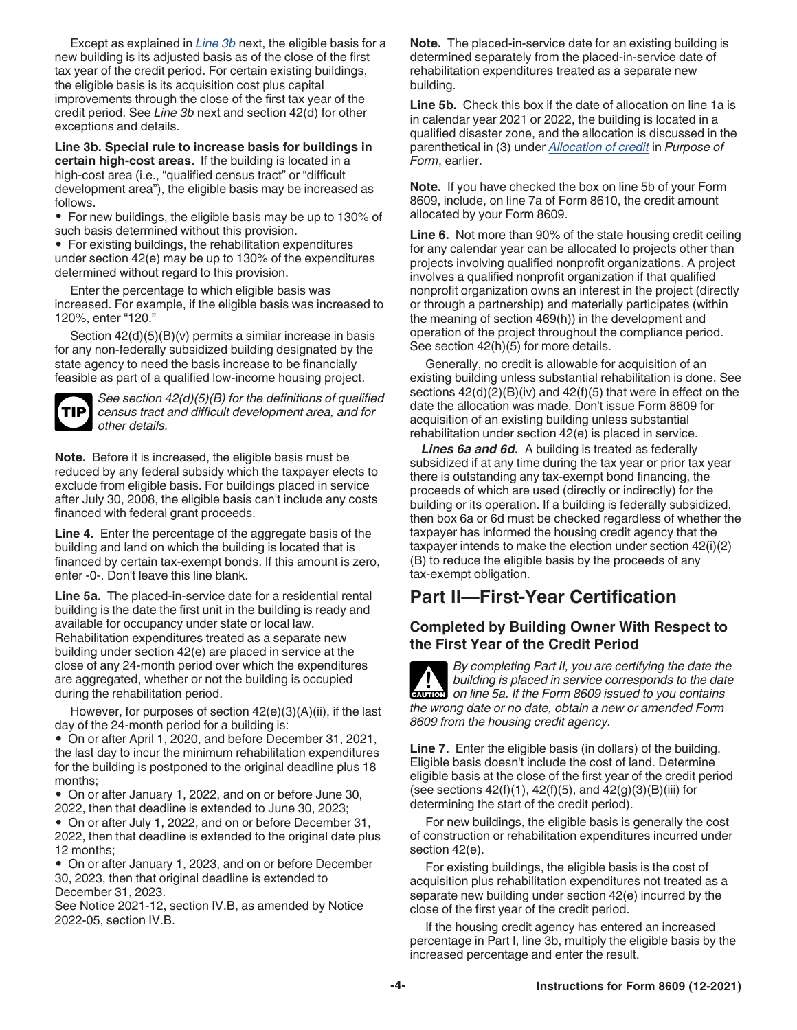<span id="page-3-0"></span>Except as explained in *Line 3b* next, the eligible basis for a new building is its adjusted basis as of the close of the first tax year of the credit period. For certain existing buildings, the eligible basis is its acquisition cost plus capital improvements through the close of the first tax year of the credit period. See *Line 3b* next and section 42(d) for other exceptions and details.

**Line 3b. Special rule to increase basis for buildings in certain high-cost areas.** If the building is located in a high-cost area (i.e., "qualified census tract" or "difficult" development area"), the eligible basis may be increased as follows.

• For new buildings, the eligible basis may be up to 130% of such basis determined without this provision.

• For existing buildings, the rehabilitation expenditures under section 42(e) may be up to 130% of the expenditures determined without regard to this provision.

Enter the percentage to which eligible basis was increased. For example, if the eligible basis was increased to 120%, enter "120."

Section 42(d)(5)(B)(v) permits a similar increase in basis for any non-federally subsidized building designated by the state agency to need the basis increase to be financially feasible as part of a qualified low-income housing project.

**TIP**

*See section 42(d)(5)(B) for the definitions of qualified census tract and difficult development area, and for other details.*

**Note.** Before it is increased, the eligible basis must be reduced by any federal subsidy which the taxpayer elects to exclude from eligible basis. For buildings placed in service after July 30, 2008, the eligible basis can't include any costs financed with federal grant proceeds.

**Line 4.** Enter the percentage of the aggregate basis of the building and land on which the building is located that is financed by certain tax-exempt bonds. If this amount is zero, enter -0-. Don't leave this line blank.

**Line 5a.** The placed-in-service date for a residential rental building is the date the first unit in the building is ready and available for occupancy under state or local law. Rehabilitation expenditures treated as a separate new building under section 42(e) are placed in service at the close of any 24-month period over which the expenditures are aggregated, whether or not the building is occupied during the rehabilitation period.

However, for purposes of section  $42(e)(3)(A)(ii)$ , if the last day of the 24-month period for a building is:

• On or after April 1, 2020, and before December 31, 2021, the last day to incur the minimum rehabilitation expenditures for the building is postponed to the original deadline plus 18 months;

• On or after January 1, 2022, and on or before June 30, 2022, then that deadline is extended to June 30, 2023;

• On or after July 1, 2022, and on or before December 31, 2022, then that deadline is extended to the original date plus 12 months;

• On or after January 1, 2023, and on or before December 30, 2023, then that original deadline is extended to December 31, 2023.

See Notice 2021-12, section IV.B, as amended by Notice 2022-05, section IV.B.

**Note.** The placed-in-service date for an existing building is determined separately from the placed-in-service date of rehabilitation expenditures treated as a separate new building.

**Line 5b.** Check this box if the date of allocation on line 1a is in calendar year 2021 or 2022, the building is located in a qualified disaster zone, and the allocation is discussed in the parenthetical in (3) under *[Allocation of credit](#page-0-0)* in *Purpose of Form*, earlier.

**Note.** If you have checked the box on line 5b of your Form 8609, include, on line 7a of Form 8610, the credit amount allocated by your Form 8609.

**Line 6.** Not more than 90% of the state housing credit ceiling for any calendar year can be allocated to projects other than projects involving qualified nonprofit organizations. A project involves a qualified nonprofit organization if that qualified nonprofit organization owns an interest in the project (directly or through a partnership) and materially participates (within the meaning of section 469(h)) in the development and operation of the project throughout the compliance period. See section 42(h)(5) for more details.

Generally, no credit is allowable for acquisition of an existing building unless substantial rehabilitation is done. See sections 42(d)(2)(B)(iv) and 42(f)(5) that were in effect on the date the allocation was made. Don't issue Form 8609 for acquisition of an existing building unless substantial rehabilitation under section 42(e) is placed in service.

*Lines 6a and 6d.* A building is treated as federally subsidized if at any time during the tax year or prior tax year there is outstanding any tax-exempt bond financing, the proceeds of which are used (directly or indirectly) for the building or its operation. If a building is federally subsidized, then box 6a or 6d must be checked regardless of whether the taxpayer has informed the housing credit agency that the taxpayer intends to make the election under section 42(i)(2) (B) to reduce the eligible basis by the proceeds of any tax-exempt obligation.

#### **Part II—First-Year Certification**

#### **Completed by Building Owner With Respect to the First Year of the Credit Period**

*By completing Part II, you are certifying the date the building is placed in service corresponds to the date on line 5a. If the Form 8609 issued to you contains the wrong date or no date, obtain a new or amended Form 8609 from the housing credit agency.* **CAUTION !**

**Line 7.** Enter the eligible basis (in dollars) of the building. Eligible basis doesn't include the cost of land. Determine eligible basis at the close of the first year of the credit period (see sections  $42(f)(1)$ ,  $42(f)(5)$ , and  $42(g)(3)(B)(iii)$  for determining the start of the credit period).

For new buildings, the eligible basis is generally the cost of construction or rehabilitation expenditures incurred under section 42(e).

For existing buildings, the eligible basis is the cost of acquisition plus rehabilitation expenditures not treated as a separate new building under section 42(e) incurred by the close of the first year of the credit period.

If the housing credit agency has entered an increased percentage in Part I, line 3b, multiply the eligible basis by the increased percentage and enter the result.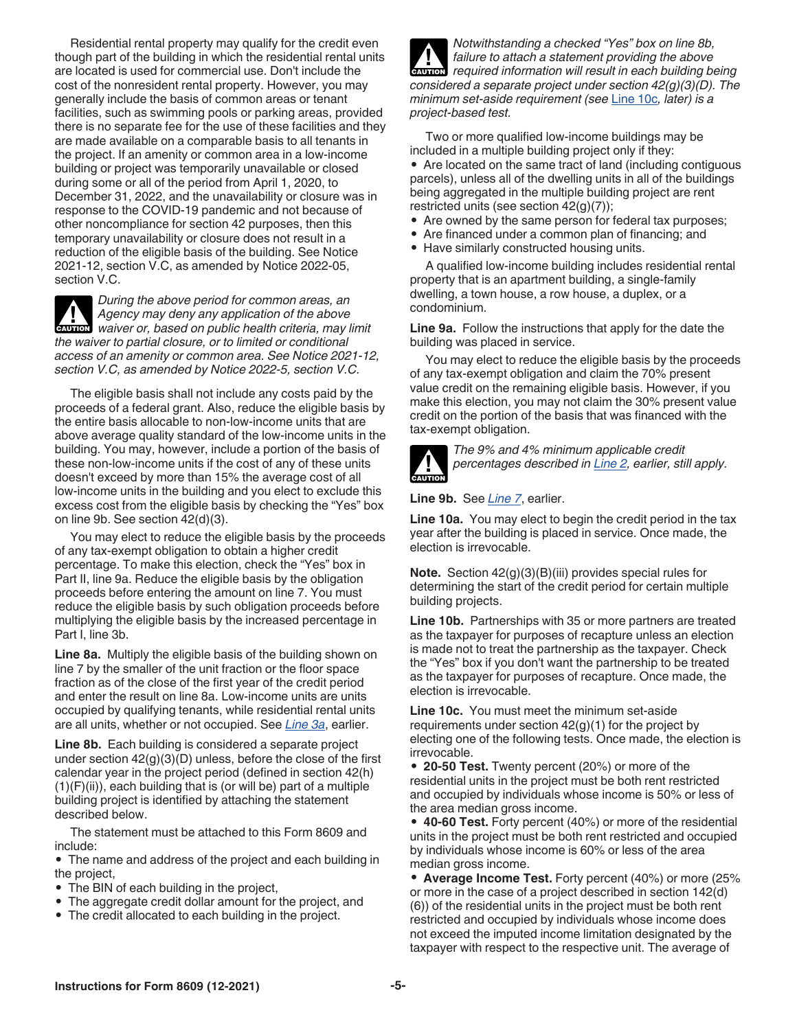<span id="page-4-0"></span>Residential rental property may qualify for the credit even though part of the building in which the residential rental units are located is used for commercial use. Don't include the cost of the nonresident rental property. However, you may generally include the basis of common areas or tenant facilities, such as swimming pools or parking areas, provided there is no separate fee for the use of these facilities and they are made available on a comparable basis to all tenants in the project. If an amenity or common area in a low-income building or project was temporarily unavailable or closed during some or all of the period from April 1, 2020, to December 31, 2022, and the unavailability or closure was in response to the COVID-19 pandemic and not because of other noncompliance for section 42 purposes, then this temporary unavailability or closure does not result in a reduction of the eligible basis of the building. See Notice 2021-12, section V.C, as amended by Notice 2022-05, section V.C.

*During the above period for common areas, an Agency may deny any application of the above Agency may deny any application of the above***<br>** *waiver or, based on public health criteria, may limit the waiver to partial closure, or to limited or conditional access of an amenity or common area. See Notice 2021-12, section V.C, as amended by Notice 2022-5, section V.C.*

The eligible basis shall not include any costs paid by the proceeds of a federal grant. Also, reduce the eligible basis by the entire basis allocable to non-low-income units that are above average quality standard of the low-income units in the building. You may, however, include a portion of the basis of these non-low-income units if the cost of any of these units doesn't exceed by more than 15% the average cost of all low-income units in the building and you elect to exclude this excess cost from the eligible basis by checking the "Yes" box on line 9b. See section 42(d)(3).

You may elect to reduce the eligible basis by the proceeds of any tax-exempt obligation to obtain a higher credit percentage. To make this election, check the "Yes" box in Part II, line 9a. Reduce the eligible basis by the obligation proceeds before entering the amount on line 7. You must reduce the eligible basis by such obligation proceeds before multiplying the eligible basis by the increased percentage in Part I, line 3b.

**Line 8a.** Multiply the eligible basis of the building shown on line 7 by the smaller of the unit fraction or the floor space fraction as of the close of the first year of the credit period and enter the result on line 8a. Low-income units are units occupied by qualifying tenants, while residential rental units are all units, whether or not occupied. See *[Line 3a](#page-2-0)*, earlier.

**Line 8b.** Each building is considered a separate project under section 42(g)(3)(D) unless, before the close of the first calendar year in the project period (defined in section 42(h) (1)(F)(ii)), each building that is (or will be) part of a multiple building project is identified by attaching the statement described below.

The statement must be attached to this Form 8609 and include:

• The name and address of the project and each building in the project,

- The BIN of each building in the project,
- The aggregate credit dollar amount for the project, and
- The credit allocated to each building in the project.

*Notwithstanding a checked "Yes" box on line 8b, failure to attach a statement providing the above required information will result in each building being considered a separate project under section 42(g)(3)(D). The minimum set-aside requirement (see* Line 10c*, later) is a project-based test.* **CAUTION !**

Two or more qualified low-income buildings may be included in a multiple building project only if they:

• Are located on the same tract of land (including contiguous parcels), unless all of the dwelling units in all of the buildings being aggregated in the multiple building project are rent restricted units (see section 42(g)(7));

- Are owned by the same person for federal tax purposes;
- Are financed under a common plan of financing; and
- Have similarly constructed housing units.

A qualified low-income building includes residential rental property that is an apartment building, a single-family dwelling, a town house, a row house, a duplex, or a condominium.

**Line 9a.** Follow the instructions that apply for the date the building was placed in service.

You may elect to reduce the eligible basis by the proceeds of any tax-exempt obligation and claim the 70% present value credit on the remaining eligible basis. However, if you make this election, you may not claim the 30% present value credit on the portion of the basis that was financed with the tax-exempt obligation.



*The 9% and 4% minimum applicable credit percentages described in [Line 2,](#page-2-0) earlier, still apply.*

**Line 9b.** See *[Line 7](#page-3-0)*, earlier.

**Line 10a.** You may elect to begin the credit period in the tax year after the building is placed in service. Once made, the election is irrevocable.

**Note.** Section 42(g)(3)(B)(iii) provides special rules for determining the start of the credit period for certain multiple building projects.

**Line 10b.** Partnerships with 35 or more partners are treated as the taxpayer for purposes of recapture unless an election is made not to treat the partnership as the taxpayer. Check the "Yes" box if you don't want the partnership to be treated as the taxpayer for purposes of recapture. Once made, the election is irrevocable.

**Line 10c.** You must meet the minimum set-aside requirements under section 42(g)(1) for the project by electing one of the following tests. Once made, the election is irrevocable.

• **20-50 Test.** Twenty percent (20%) or more of the residential units in the project must be both rent restricted and occupied by individuals whose income is 50% or less of the area median gross income.

• **40-60 Test.** Forty percent (40%) or more of the residential units in the project must be both rent restricted and occupied by individuals whose income is 60% or less of the area median gross income.

• **Average Income Test.** Forty percent (40%) or more (25% or more in the case of a project described in section 142(d) (6)) of the residential units in the project must be both rent restricted and occupied by individuals whose income does not exceed the imputed income limitation designated by the taxpayer with respect to the respective unit. The average of